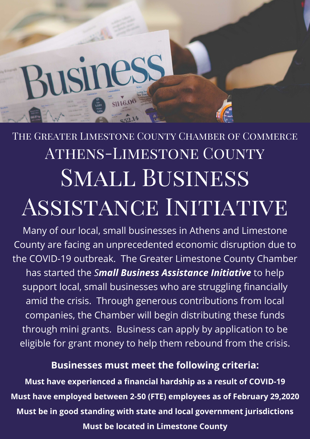# **1911**

# The Greater Limestone County Chamber of Commerce Athens-Limestone County SMALL BUSINESS Assistance Initiative

Many of our local, small businesses in Athens and Limestone County are facing an unprecedented economic disruption due to the COVID-19 outbreak. The Greater Limestone County Chamber has started the *Small Business Assistance Initiative* to help support local, small businesses who are struggling financially amid the crisis. Through generous contributions from local companies, the Chamber will begin distributing these funds through mini grants. Business can apply by application to be eligible for grant money to help them rebound from the crisis.

# **Businesses must meet the following criteria:**

**Must have experienced a financial hardship as a result of COVID-19 Must have employed between 2-50 (FTE) employees as of February 29,2020 Must be in good standing with state and local government jurisdictions Must be located in Limestone County**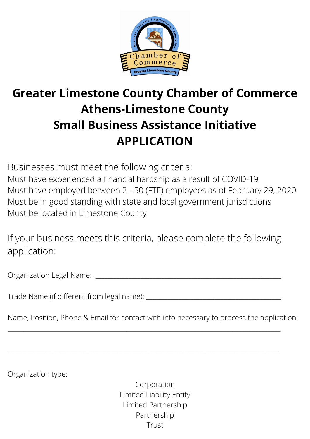

# **Greater Limestone County Chamber of Commerce Athens-Limestone County Small Business Assistance Initiative APPLICATION**

Businesses must meet the following criteria:

Must have experienced a financial hardship as a result of COVID-19 Must have employed between 2 - 50 (FTE) employees as of February 29, 2020 Must be in good standing with state and local government jurisdictions Must be located in Limestone County

If your business meets this criteria, please complete the following application:

Organization Legal Name: <u>\_\_\_</u>

| Trade Name (if different from legal name): |  |  |  |
|--------------------------------------------|--|--|--|
|--------------------------------------------|--|--|--|

Name, Position, Phone & Email for contact with info necessary to process the application:

\_\_\_\_\_\_\_\_\_\_\_\_\_\_\_\_\_\_\_\_\_\_\_\_\_\_\_\_\_\_\_\_\_\_\_\_\_\_\_\_\_\_\_\_\_\_\_\_\_\_\_\_\_\_\_\_\_\_\_\_\_\_\_\_\_\_\_\_\_\_\_\_\_\_\_\_\_\_\_\_\_\_\_\_\_

\_\_\_\_\_\_\_\_\_\_\_\_\_\_\_\_\_\_\_\_\_\_\_\_\_\_\_\_\_\_\_\_\_\_\_\_\_\_\_\_\_\_\_\_\_\_\_\_\_\_\_\_\_\_\_\_\_\_\_\_\_\_\_\_\_\_\_\_\_\_\_\_\_\_\_\_\_\_\_\_\_\_\_\_\_\_\_\_\_\_\_

Organization type:

Corporation Limited Liability Entity Limited Partnership Partnership Trust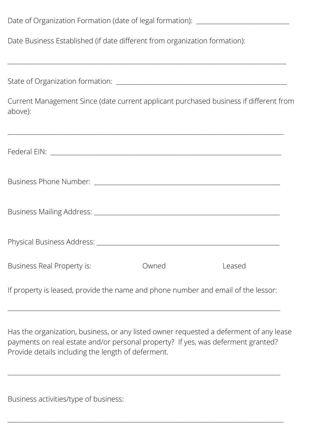| Date of Organization Formation (date of legal formation): ______________________                                             |       |        |
|------------------------------------------------------------------------------------------------------------------------------|-------|--------|
| Date Business Established (if date different from organization formation):                                                   |       |        |
|                                                                                                                              |       |        |
|                                                                                                                              |       |        |
| Current Management Since (date current applicant purchased business if different from<br>above):                             |       |        |
| <u> 1989 - Johann Stoff, die besteht aus der Stoffen und der Stoffen und der Stoffen und der Stoffen und der Stoffen und</u> |       |        |
|                                                                                                                              |       |        |
|                                                                                                                              |       |        |
|                                                                                                                              |       |        |
|                                                                                                                              |       |        |
| Business Real Property is:                                                                                                   | Owned | Leased |
| If property is leased, provide the name and phone number and email of the lessor:                                            |       |        |

Has the organization, business, or any listed owner requested a deferment of any lease payments on real estate and/or personal property? If yes, was deferment granted? Provide details including the length of deferment.

\_\_\_\_\_\_\_\_\_\_\_\_\_\_\_\_\_\_\_\_\_\_\_\_\_\_\_\_\_\_\_\_\_\_\_\_\_\_\_\_\_\_\_\_\_\_\_\_\_\_\_\_\_\_\_\_\_\_\_\_\_\_\_\_\_\_\_\_\_\_\_\_\_\_\_\_\_\_\_\_\_\_\_\_\_\_\_\_\_\_\_

 $\_$  ,  $\_$  ,  $\_$  ,  $\_$  ,  $\_$  ,  $\_$  ,  $\_$  ,  $\_$  ,  $\_$  ,  $\_$  ,  $\_$  ,  $\_$  ,  $\_$  ,  $\_$  ,  $\_$  ,  $\_$  ,  $\_$  ,  $\_$  ,  $\_$  ,  $\_$  ,  $\_$  ,  $\_$  ,  $\_$  ,  $\_$  ,  $\_$  ,  $\_$  ,  $\_$  ,  $\_$  ,  $\_$  ,  $\_$  ,  $\_$  ,  $\_$  ,  $\_$  ,  $\_$  ,  $\_$  ,  $\_$  ,  $\_$  ,

\_\_\_\_\_\_\_\_\_\_\_\_\_\_\_\_\_\_\_\_\_\_\_\_\_\_\_\_\_\_\_\_\_\_\_\_\_\_\_\_\_\_\_\_\_\_\_\_\_\_\_\_\_\_\_\_\_\_\_\_\_\_\_\_\_\_\_\_\_\_\_\_\_\_\_\_\_\_\_\_\_\_\_\_\_\_\_\_\_\_\_

Business activities/type of business: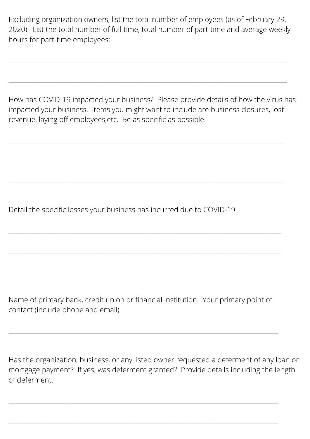Excluding organization owners, list the total number of employees (as of February 29, 2020): List the total number of full-time, total number of part-time and average weekly hours for part-time employees:

\_\_\_\_\_\_\_\_\_\_\_\_\_\_\_\_\_\_\_\_\_\_\_\_\_\_\_\_\_\_\_\_\_\_\_\_\_\_\_\_\_\_\_\_\_\_\_\_\_\_\_\_\_\_\_\_\_\_\_\_\_\_\_\_\_\_\_\_\_\_\_\_\_\_\_\_\_\_\_\_\_\_\_\_\_\_\_\_\_\_\_\_\_

\_\_\_\_\_\_\_\_\_\_\_\_\_\_\_\_\_\_\_\_\_\_\_\_\_\_\_\_\_\_\_\_\_\_\_\_\_\_\_\_\_\_\_\_\_\_\_\_\_\_\_\_\_\_\_\_\_\_\_\_\_\_\_\_\_\_\_\_\_\_\_\_\_\_\_\_\_\_\_\_\_\_\_\_\_\_\_\_\_\_\_\_\_

How has COVID-19 impacted your business? Please provide details of how the virus has impacted your business. Items you might want to include are business closures, lost revenue, laying off employees,etc. Be as specific as possible.

 $\_$  ,  $\_$  ,  $\_$  ,  $\_$  ,  $\_$  ,  $\_$  ,  $\_$  ,  $\_$  ,  $\_$  ,  $\_$  ,  $\_$  ,  $\_$  ,  $\_$  ,  $\_$  ,  $\_$  ,  $\_$  ,  $\_$  ,  $\_$  ,  $\_$  ,  $\_$  ,  $\_$  ,  $\_$  ,  $\_$  ,  $\_$  ,  $\_$  ,  $\_$  ,  $\_$  ,  $\_$  ,  $\_$  ,  $\_$  ,  $\_$  ,  $\_$  ,  $\_$  ,  $\_$  ,  $\_$  ,  $\_$  ,  $\_$  ,

 $\_$  ,  $\_$  ,  $\_$  ,  $\_$  ,  $\_$  ,  $\_$  ,  $\_$  ,  $\_$  ,  $\_$  ,  $\_$  ,  $\_$  ,  $\_$  ,  $\_$  ,  $\_$  ,  $\_$  ,  $\_$  ,  $\_$  ,  $\_$  ,  $\_$  ,  $\_$  ,  $\_$  ,  $\_$  ,  $\_$  ,  $\_$  ,  $\_$  ,  $\_$  ,  $\_$  ,  $\_$  ,  $\_$  ,  $\_$  ,  $\_$  ,  $\_$  ,  $\_$  ,  $\_$  ,  $\_$  ,  $\_$  ,  $\_$  ,

 $\_$  , and the contribution of the contribution of the contribution of the contribution of  $\mathcal{L}_1$ 

 $\_$  , and the set of the set of the set of the set of the set of the set of the set of the set of the set of the set of the set of the set of the set of the set of the set of the set of the set of the set of the set of th

\_\_\_\_\_\_\_\_\_\_\_\_\_\_\_\_\_\_\_\_\_\_\_\_\_\_\_\_\_\_\_\_\_\_\_\_\_\_\_\_\_\_\_\_\_\_\_\_\_\_\_\_\_\_\_\_\_\_\_\_\_\_\_\_\_\_\_\_\_\_\_\_\_\_\_\_\_\_\_\_\_\_\_\_\_\_\_\_\_\_\_

 $\_$  , and the set of the set of the set of the set of the set of the set of the set of the set of the set of the set of the set of the set of the set of the set of the set of the set of the set of the set of the set of th

Detail the specific losses your business has incurred due to COVID-19.

Name of primary bank, credit union or financial institution. Your primary point of contact (include phone and email)

 $\_$  , and the set of the set of the set of the set of the set of the set of the set of the set of the set of the set of the set of the set of the set of the set of the set of the set of the set of the set of the set of th

 $\_$  . The contribution of the contribution of the contribution of the contribution of  $\mathcal{L}_1$ 

 $\_$  , and the contribution of the contribution of the contribution of the contribution of  $\mathcal{L}_\text{max}$ 

Has the organization, business, or any listed owner requested a deferment of any loan or mortgage payment? If yes, was deferment granted? Provide details including the length of deferment.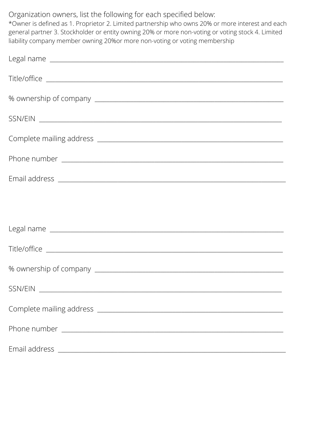## Organization owners, list the following for each specified below:

\*Owner is defined as 1. Proprietor 2. Limited partnership who owns 20% or more interest and each general partner 3. Stockholder or entity owning 20% or more non-voting or voting stock 4. Limited liability company member owning 20%or more non-voting or voting membership

| Legal name experience and the set of the set of the set of the set of the set of the set of the set of the set of the set of the set of the set of the set of the set of the set of the set of the set of the set of the set o |
|--------------------------------------------------------------------------------------------------------------------------------------------------------------------------------------------------------------------------------|
|                                                                                                                                                                                                                                |
|                                                                                                                                                                                                                                |
|                                                                                                                                                                                                                                |
|                                                                                                                                                                                                                                |
|                                                                                                                                                                                                                                |
|                                                                                                                                                                                                                                |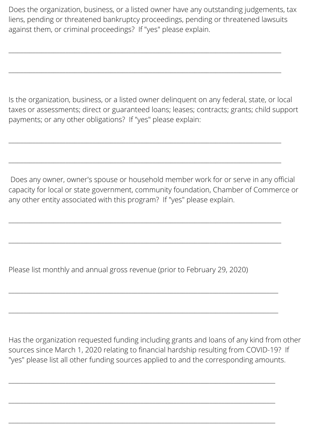Does the organization, business, or a listed owner have any outstanding judgements, tax liens, pending or threatened bankruptcy proceedings, pending or threatened lawsuits against them, or criminal proceedings? If "yes" please explain.

 $\_$  ,  $\_$  ,  $\_$  ,  $\_$  ,  $\_$  ,  $\_$  ,  $\_$  ,  $\_$  ,  $\_$  ,  $\_$  ,  $\_$  ,  $\_$  ,  $\_$  ,  $\_$  ,  $\_$  ,  $\_$  ,  $\_$  ,  $\_$  ,  $\_$  ,  $\_$  ,  $\_$  ,  $\_$  ,  $\_$  ,  $\_$  ,  $\_$  ,  $\_$  ,  $\_$  ,  $\_$  ,  $\_$  ,  $\_$  ,  $\_$  ,  $\_$  ,  $\_$  ,  $\_$  ,  $\_$  ,  $\_$  ,  $\_$  ,

 $\_$  , and the set of the set of the set of the set of the set of the set of the set of the set of the set of the set of the set of the set of the set of the set of the set of the set of the set of the set of the set of th

\_\_\_\_\_\_\_\_\_\_\_\_\_\_\_\_\_\_\_\_\_\_\_\_\_\_\_\_\_\_\_\_\_\_\_\_\_\_\_\_\_\_\_\_\_\_\_\_\_\_\_\_\_\_\_\_\_\_\_\_\_\_\_\_\_\_\_\_\_\_\_\_\_\_\_\_\_\_\_\_\_\_\_\_\_\_\_\_\_\_\_

 $\_$  ,  $\_$  ,  $\_$  ,  $\_$  ,  $\_$  ,  $\_$  ,  $\_$  ,  $\_$  ,  $\_$  ,  $\_$  ,  $\_$  ,  $\_$  ,  $\_$  ,  $\_$  ,  $\_$  ,  $\_$  ,  $\_$  ,  $\_$  ,  $\_$  ,  $\_$  ,  $\_$  ,  $\_$  ,  $\_$  ,  $\_$  ,  $\_$  ,  $\_$  ,  $\_$  ,  $\_$  ,  $\_$  ,  $\_$  ,  $\_$  ,  $\_$  ,  $\_$  ,  $\_$  ,  $\_$  ,  $\_$  ,  $\_$  ,

 $\_$  , and the set of the set of the set of the set of the set of the set of the set of the set of the set of the set of the set of the set of the set of the set of the set of the set of the set of the set of the set of th

\_\_\_\_\_\_\_\_\_\_\_\_\_\_\_\_\_\_\_\_\_\_\_\_\_\_\_\_\_\_\_\_\_\_\_\_\_\_\_\_\_\_\_\_\_\_\_\_\_\_\_\_\_\_\_\_\_\_\_\_\_\_\_\_\_\_\_\_\_\_\_\_\_\_\_\_\_\_\_\_\_\_\_\_\_\_\_\_\_\_\_

 $\_$  , and the set of the set of the set of the set of the set of the set of the set of the set of the set of the set of the set of the set of the set of the set of the set of the set of the set of the set of the set of th

 $\_$  , and the contribution of the contribution of  $\mathcal{L}_1$  , and the contribution of  $\mathcal{L}_2$  , and the contribution of  $\mathcal{L}_1$ 

\_\_\_\_\_\_\_\_\_\_\_\_\_\_\_\_\_\_\_\_\_\_\_\_\_\_\_\_\_\_\_\_\_\_\_\_\_\_\_\_\_\_\_\_\_\_\_\_\_\_\_\_\_\_\_\_\_\_\_\_\_\_\_\_\_\_\_\_\_\_\_\_\_\_\_\_\_\_\_\_\_\_\_\_\_\_\_\_\_

\_\_\_\_\_\_\_\_\_\_\_\_\_\_\_\_\_\_\_\_\_\_\_\_\_\_\_\_\_\_\_\_\_\_\_\_\_\_\_\_\_\_\_\_\_\_\_\_\_\_\_\_\_\_\_\_\_\_\_\_\_\_\_\_\_\_\_\_\_\_\_\_\_\_\_\_\_\_\_\_\_\_\_\_\_\_\_\_\_

\_\_\_\_\_\_\_\_\_\_\_\_\_\_\_\_\_\_\_\_\_\_\_\_\_\_\_\_\_\_\_\_\_\_\_\_\_\_\_\_\_\_\_\_\_\_\_\_\_\_\_\_\_\_\_\_\_\_\_\_\_\_\_\_\_\_\_\_\_\_\_\_\_\_\_\_\_\_\_\_\_\_\_\_\_\_\_\_\_

Is the organization, business, or a listed owner delinquent on any federal, state, or local taxes or assessments; direct or guaranteed loans; leases; contracts; grants; child support payments; or any other obligations? If "yes" please explain:

Does any owner, owner's spouse or household member work for or serve in any official capacity for local or state government, community foundation, Chamber of Commerce or any other entity associated with this program? If "yes" please explain.

Please list monthly and annual gross revenue (prior to February 29, 2020)

Has the organization requested funding including grants and loans of any kind from other sources since March 1, 2020 relating to financial hardship resulting from COVID-19? If "yes" please list all other funding sources applied to and the corresponding amounts.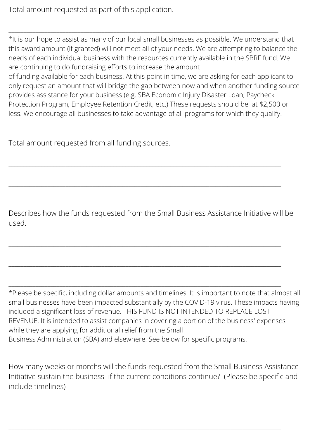Total amount requested as part of this application.

\*It is our hope to assist as many of our local small businesses as possible. We understand that this award amount (if granted) will not meet all of your needs. We are attempting to balance the needs of each individual business with the resources currently available in the SBRF fund. We are continuing to do fundraising efforts to increase the amount

 $\_$  , and the set of the set of the set of the set of the set of the set of the set of the set of the set of the set of the set of the set of the set of the set of the set of the set of the set of the set of the set of th

of funding available for each business. At this point in time, we are asking for each applicant to only request an amount that will bridge the gap between now and when another funding source provides assistance for your business (e.g. SBA Economic Injury Disaster Loan, Paycheck Protection Program, Employee Retention Credit, etc.) These requests should be at \$2,500 or less. We encourage all businesses to take advantage of all programs for which they qualify.

Total amount requested from all funding sources.

Describes how the funds requested from the Small Business Assistance Initiative will be used.

\_\_\_\_\_\_\_\_\_\_\_\_\_\_\_\_\_\_\_\_\_\_\_\_\_\_\_\_\_\_\_\_\_\_\_\_\_\_\_\_\_\_\_\_\_\_\_\_\_\_\_\_\_\_\_\_\_\_\_\_\_\_\_\_\_\_\_\_\_\_\_\_\_\_\_\_\_\_\_\_\_\_\_\_\_\_\_\_\_\_\_

 $\_$  , and the set of the set of the set of the set of the set of the set of the set of the set of the set of the set of the set of the set of the set of the set of the set of the set of the set of the set of the set of th

 $\_$  , and the set of the set of the set of the set of the set of the set of the set of the set of the set of the set of the set of the set of the set of the set of the set of the set of the set of the set of the set of th

 $\_$  ,  $\_$  ,  $\_$  ,  $\_$  ,  $\_$  ,  $\_$  ,  $\_$  ,  $\_$  ,  $\_$  ,  $\_$  ,  $\_$  ,  $\_$  ,  $\_$  ,  $\_$  ,  $\_$  ,  $\_$  ,  $\_$  ,  $\_$  ,  $\_$  ,  $\_$  ,  $\_$  ,  $\_$  ,  $\_$  ,  $\_$  ,  $\_$  ,  $\_$  ,  $\_$  ,  $\_$  ,  $\_$  ,  $\_$  ,  $\_$  ,  $\_$  ,  $\_$  ,  $\_$  ,  $\_$  ,  $\_$  ,  $\_$  ,

\_\_\_\_\_\_\_\_\_\_\_\_\_\_\_\_\_\_\_\_\_\_\_\_\_\_\_\_\_\_\_\_\_\_\_\_\_\_\_\_\_\_\_\_\_\_\_\_\_\_\_\_\_\_\_\_\_\_\_\_\_\_\_\_\_\_\_\_\_\_\_\_\_\_\_\_\_\_\_\_\_\_\_\_\_\_\_\_\_\_\_

\*Please be specific, including dollar amounts and timelines. It is important to note that almost all small businesses have been impacted substantially by the COVID-19 virus. These impacts having included a significant loss of revenue. THIS FUND IS NOT INTENDED TO REPLACE LOST REVENUE. It is intended to assist companies in covering a portion of the business' expenses while they are applying for additional relief from the Small Business Administration (SBA) and elsewhere. See below for specific programs.

How many weeks or months will the funds requested from the Small Business Assistance Initiative sustain the business if the current conditions continue? (Please be specific and include timelines)

 $\_$  . The contribution of the contribution of the contribution of the contribution of the contribution of the contribution of the contribution of the contribution of the contribution of the contribution of the contributio

 $\_$  , and the contribution of the contribution of the contribution of the contribution of  $\mathcal{L}_\mathbf{u}$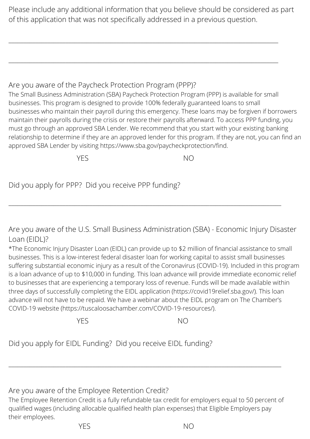Please include any additional information that you believe should be considered as part of this application that was not specifically addressed in a previous question.

\_\_\_\_\_\_\_\_\_\_\_\_\_\_\_\_\_\_\_\_\_\_\_\_\_\_\_\_\_\_\_\_\_\_\_\_\_\_\_\_\_\_\_\_\_\_\_\_\_\_\_\_\_\_\_\_\_\_\_\_\_\_\_\_\_\_\_\_\_\_\_\_\_\_\_\_\_\_\_\_\_\_\_\_\_\_\_\_\_\_

\_\_\_\_\_\_\_\_\_\_\_\_\_\_\_\_\_\_\_\_\_\_\_\_\_\_\_\_\_\_\_\_\_\_\_\_\_\_\_\_\_\_\_\_\_\_\_\_\_\_\_\_\_\_\_\_\_\_\_\_\_\_\_\_\_\_\_\_\_\_\_\_\_\_\_\_\_\_\_\_\_\_\_\_\_\_\_\_\_\_

## Are you aware of the Paycheck Protection Program (PPP)?

The Small Business Administration (SBA) Paycheck Protection Program (PPP) is available for small businesses. This program is designed to provide 100% federally guaranteed loans to small businesses who maintain their payroll during this emergency. These loans may be forgiven if borrowers maintain their payrolls during the crisis or restore their payrolls afterward. To access PPP funding, you must go through an approved SBA Lender. We recommend that you start with your existing banking relationship to determine if they are an approved lender for this program. If they are not, you can find an approved SBA Lender by visiting https://www.sba.gov/paycheckprotection/find.

YES NO

Did you apply for PPP? Did you receive PPP funding?

Are you aware of the U.S. Small Business Administration (SBA) - Economic Injury Disaster Loan (EIDL)?

 $\_$  , and the set of the set of the set of the set of the set of the set of the set of the set of the set of the set of the set of the set of the set of the set of the set of the set of the set of the set of the set of th

\*The Economic Injury Disaster Loan (EIDL) can provide up to \$2 million of financial assistance to small businesses. This is a low-interest federal disaster loan for working capital to assist small businesses suffering substantial economic injury as a result of the Coronavirus (COVID-19). Included in this program is a loan advance of up to \$10,000 in funding. This loan advance will provide immediate economic relief to businesses that are experiencing a temporary loss of revenue. Funds will be made available within three days of successfully completing the EIDL application (https://covid19relief.sba.gov/). This loan advance will not have to be repaid. We have a webinar about the EIDL program on The Chamber's COVID-19 website (https://tuscaloosachamber.com/COVID-19-resources/).

YES NO

Did you apply for EIDL Funding? Did you receive EIDL funding?

Are you aware of the Employee Retention Credit?

The Employee Retention Credit is a fully refundable tax credit for employers equal to 50 percent of qualified wages (including allocable qualified health plan expenses) that Eligible Employers pay their employees.

 $\_$  , and the set of the set of the set of the set of the set of the set of the set of the set of the set of the set of the set of the set of the set of the set of the set of the set of the set of the set of the set of th